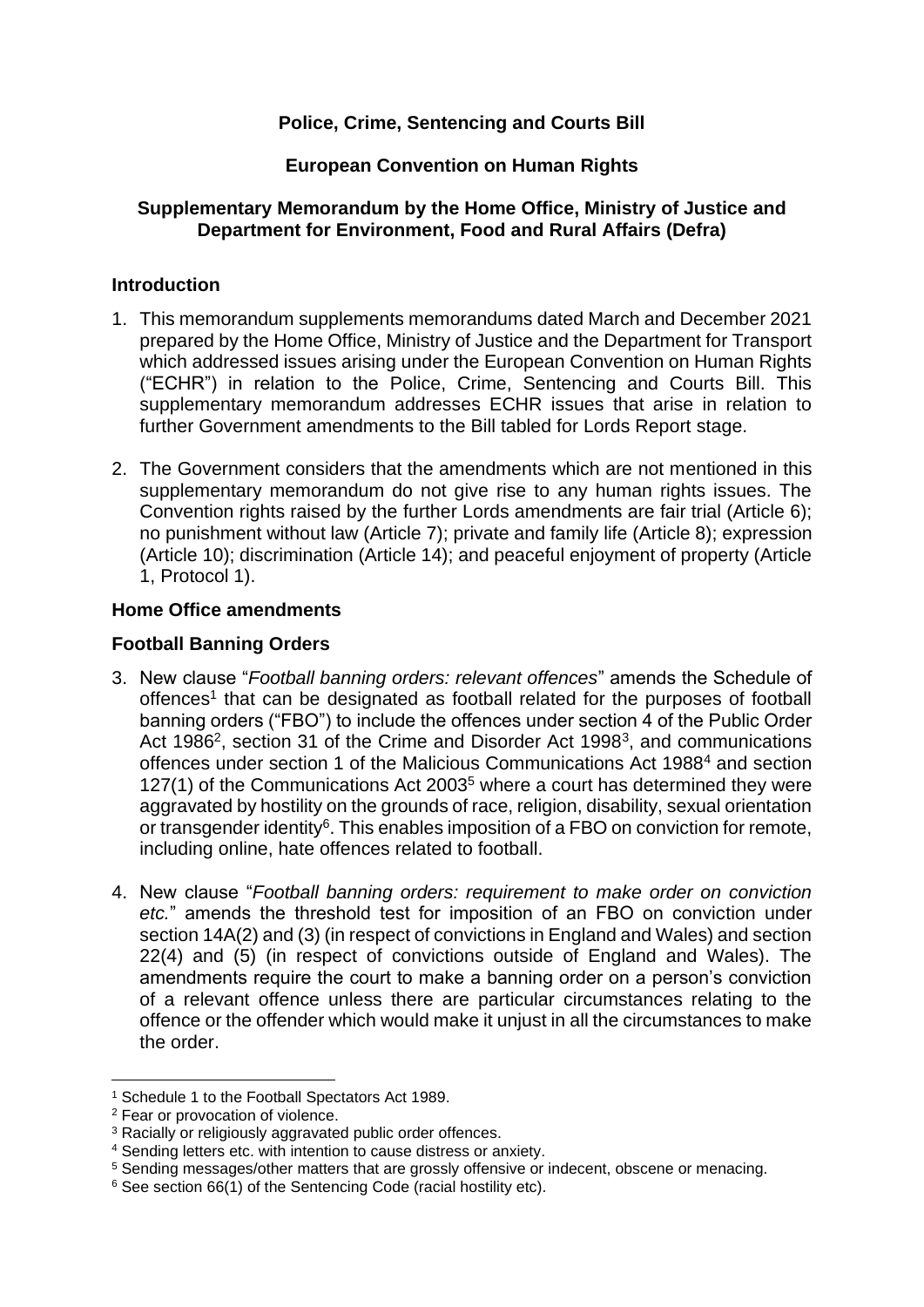# **Police, Crime, Sentencing and Courts Bill**

### **European Convention on Human Rights**

### **Supplementary Memorandum by the Home Office, Ministry of Justice and Department for Environment, Food and Rural Affairs (Defra)**

### **Introduction**

- 1. This memorandum supplements memorandums dated March and December 2021 prepared by the Home Office, Ministry of Justice and the Department for Transport which addressed issues arising under the European Convention on Human Rights ("ECHR") in relation to the Police, Crime, Sentencing and Courts Bill. This supplementary memorandum addresses ECHR issues that arise in relation to further Government amendments to the Bill tabled for Lords Report stage.
- 2. The Government considers that the amendments which are not mentioned in this supplementary memorandum do not give rise to any human rights issues. The Convention rights raised by the further Lords amendments are fair trial (Article 6); no punishment without law (Article 7); private and family life (Article 8); expression (Article 10); discrimination (Article 14); and peaceful enjoyment of property (Article 1, Protocol 1).

### **Home Office amendments**

### **Football Banning Orders**

- 3. New clause "*Football banning orders: relevant offences*" amends the Schedule of offences<sup>1</sup> that can be designated as football related for the purposes of football banning orders ("FBO") to include the offences under section 4 of the Public Order Act 1986<sup>2</sup>, section 31 of the Crime and Disorder Act 1998<sup>3</sup>, and communications offences under section 1 of the Malicious Communications Act 1988<sup>4</sup> and section 127(1) of the Communications Act 2003<sup>5</sup> where a court has determined they were aggravated by hostility on the grounds of race, religion, disability, sexual orientation or transgender identity<sup>6</sup>. This enables imposition of a FBO on conviction for remote, including online, hate offences related to football.
- 4. New clause "*Football banning orders: requirement to make order on conviction etc.*" amends the threshold test for imposition of an FBO on conviction under section 14A(2) and (3) (in respect of convictions in England and Wales) and section 22(4) and (5) (in respect of convictions outside of England and Wales). The amendments require the court to make a banning order on a person's conviction of a relevant offence unless there are particular circumstances relating to the offence or the offender which would make it unjust in all the circumstances to make the order.

<sup>1</sup> Schedule 1 to the Football Spectators Act 1989.

<sup>2</sup> Fear or provocation of violence.

<sup>&</sup>lt;sup>3</sup> Racially or religiously aggravated public order offences.

<sup>4</sup> Sending letters etc. with intention to cause distress or anxiety.

<sup>5</sup> Sending messages/other matters that are grossly offensive or indecent, obscene or menacing.

<sup>&</sup>lt;sup>6</sup> See section 66(1) of the Sentencing Code (racial hostility etc).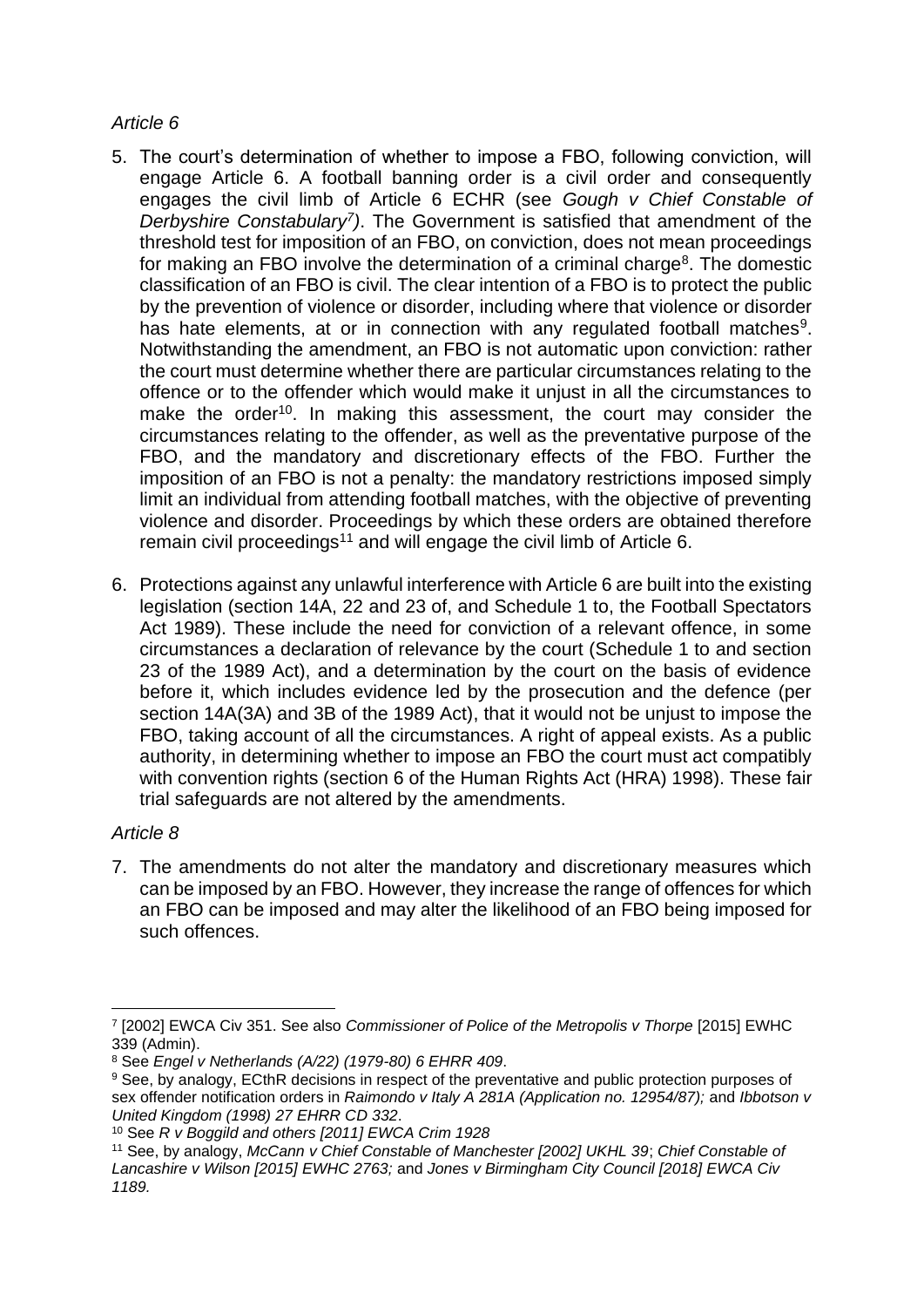### *Article 6*

- 5. The court's determination of whether to impose a FBO, following conviction, will engage Article 6. A football banning order is a civil order and consequently engages the civil limb of Article 6 ECHR (see *Gough v Chief Constable of Derbyshire Constabulary<sup>7</sup> )*. The Government is satisfied that amendment of the threshold test for imposition of an FBO, on conviction, does not mean proceedings for making an FBO involve the determination of a criminal charge<sup>8</sup>. The domestic classification of an FBO is civil. The clear intention of a FBO is to protect the public by the prevention of violence or disorder, including where that violence or disorder has hate elements, at or in connection with any regulated football matches<sup>9</sup>. Notwithstanding the amendment, an FBO is not automatic upon conviction: rather the court must determine whether there are particular circumstances relating to the offence or to the offender which would make it unjust in all the circumstances to make the order<sup>10</sup>. In making this assessment, the court may consider the circumstances relating to the offender, as well as the preventative purpose of the FBO, and the mandatory and discretionary effects of the FBO. Further the imposition of an FBO is not a penalty: the mandatory restrictions imposed simply limit an individual from attending football matches, with the objective of preventing violence and disorder. Proceedings by which these orders are obtained therefore remain civil proceedings<sup>11</sup> and will engage the civil limb of Article 6.
- 6. Protections against any unlawful interference with Article 6 are built into the existing legislation (section 14A, 22 and 23 of, and Schedule 1 to, the Football Spectators Act 1989). These include the need for conviction of a relevant offence, in some circumstances a declaration of relevance by the court (Schedule 1 to and section 23 of the 1989 Act), and a determination by the court on the basis of evidence before it, which includes evidence led by the prosecution and the defence (per section 14A(3A) and 3B of the 1989 Act), that it would not be unjust to impose the FBO, taking account of all the circumstances. A right of appeal exists. As a public authority, in determining whether to impose an FBO the court must act compatibly with convention rights (section 6 of the Human Rights Act (HRA) 1998). These fair trial safeguards are not altered by the amendments.

# *Article 8*

7. The amendments do not alter the mandatory and discretionary measures which can be imposed by an FBO. However, they increase the range of offences for which an FBO can be imposed and may alter the likelihood of an FBO being imposed for such offences.

<sup>7</sup> [2002] EWCA Civ 351. See also *Commissioner of Police of the Metropolis v Thorpe* [2015] EWHC 339 (Admin).

<sup>8</sup> See *Engel v Netherlands (A/22) (1979-80) 6 EHRR 409*.

<sup>9</sup> See, by analogy, ECthR decisions in respect of the preventative and public protection purposes of sex offender notification orders in *Raimondo v Italy A 281A (Application no. 12954/87);* and *Ibbotson v United Kingdom (1998) 27 EHRR CD 332*.

<sup>10</sup> See *R v Boggild and others [2011] EWCA Crim 1928* 

<sup>11</sup> See, by analogy, *McCann v Chief Constable of Manchester [2002] UKHL 39*; *Chief Constable of Lancashire v Wilson [2015] EWHC 2763;* and *Jones v Birmingham City Council [2018] EWCA Civ 1189.*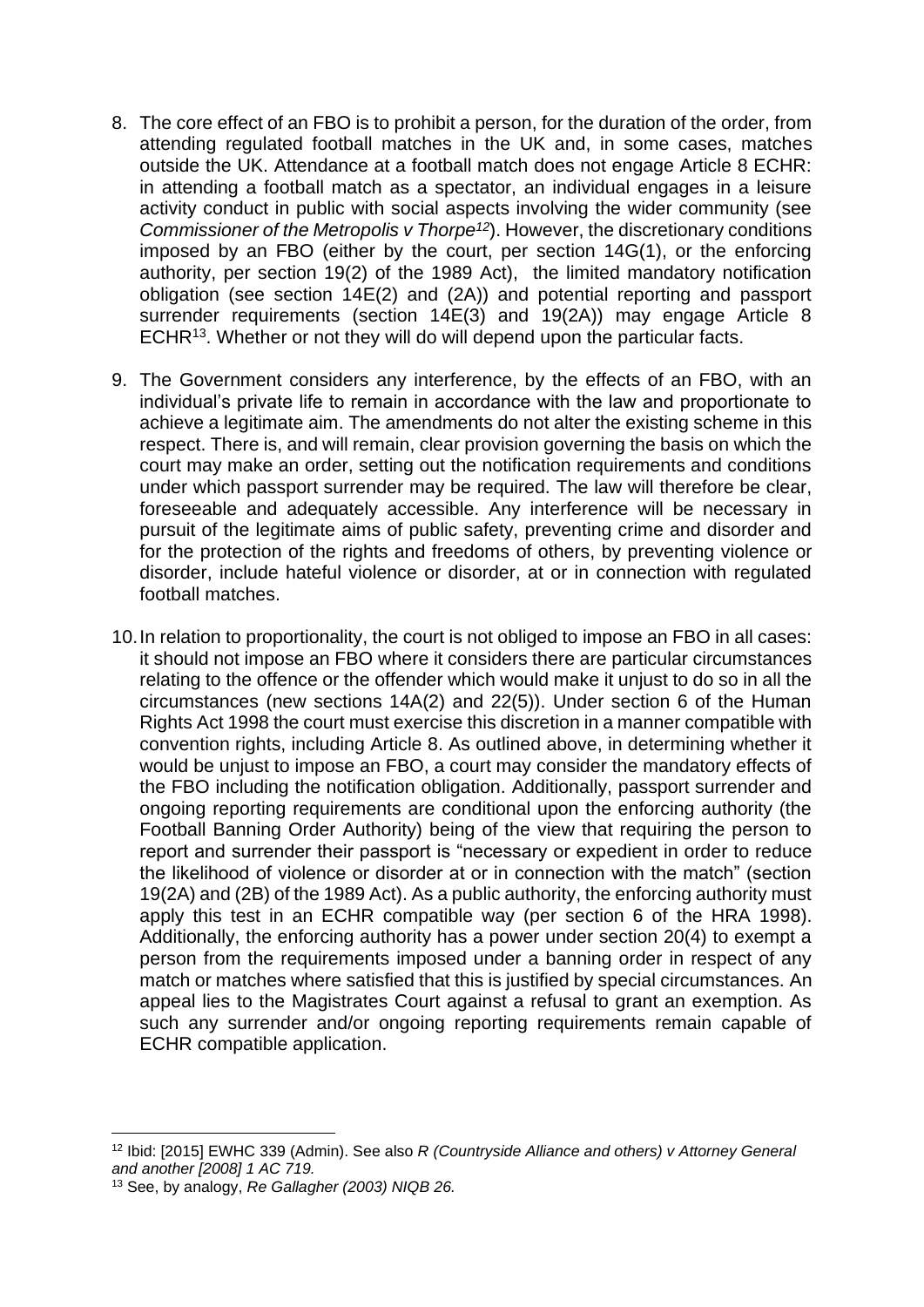- 8. The core effect of an FBO is to prohibit a person, for the duration of the order, from attending regulated football matches in the UK and, in some cases, matches outside the UK. Attendance at a football match does not engage Article 8 ECHR: in attending a football match as a spectator, an individual engages in a leisure activity conduct in public with social aspects involving the wider community (see *Commissioner of the Metropolis v Thorpe<sup>12</sup>*). However, the discretionary conditions imposed by an FBO (either by the court, per section 14G(1), or the enforcing authority, per section 19(2) of the 1989 Act), the limited mandatory notification obligation (see section 14E(2) and (2A)) and potential reporting and passport surrender requirements (section 14E(3) and 19(2A)) may engage Article 8 ECHR<sup>13</sup>. Whether or not they will do will depend upon the particular facts.
- 9. The Government considers any interference, by the effects of an FBO, with an individual's private life to remain in accordance with the law and proportionate to achieve a legitimate aim. The amendments do not alter the existing scheme in this respect. There is, and will remain, clear provision governing the basis on which the court may make an order, setting out the notification requirements and conditions under which passport surrender may be required. The law will therefore be clear, foreseeable and adequately accessible. Any interference will be necessary in pursuit of the legitimate aims of public safety, preventing crime and disorder and for the protection of the rights and freedoms of others, by preventing violence or disorder, include hateful violence or disorder, at or in connection with regulated football matches.
- 10.In relation to proportionality, the court is not obliged to impose an FBO in all cases: it should not impose an FBO where it considers there are particular circumstances relating to the offence or the offender which would make it unjust to do so in all the circumstances (new sections 14A(2) and 22(5)). Under section 6 of the Human Rights Act 1998 the court must exercise this discretion in a manner compatible with convention rights, including Article 8. As outlined above, in determining whether it would be unjust to impose an FBO, a court may consider the mandatory effects of the FBO including the notification obligation. Additionally, passport surrender and ongoing reporting requirements are conditional upon the enforcing authority (the Football Banning Order Authority) being of the view that requiring the person to report and surrender their passport is "necessary or expedient in order to reduce the likelihood of violence or disorder at or in connection with the match" (section 19(2A) and (2B) of the 1989 Act). As a public authority, the enforcing authority must apply this test in an ECHR compatible way (per section 6 of the HRA 1998). Additionally, the enforcing authority has a power under section 20(4) to exempt a person from the requirements imposed under a banning order in respect of any match or matches where satisfied that this is justified by special circumstances. An appeal lies to the Magistrates Court against a refusal to grant an exemption. As such any surrender and/or ongoing reporting requirements remain capable of ECHR compatible application.

<sup>12</sup> Ibid: [2015] EWHC 339 (Admin). See also *R (Countryside Alliance and others) v Attorney General and another [2008] 1 AC 719.*

<sup>13</sup> See, by analogy, *Re Gallagher (2003) NIQB 26.*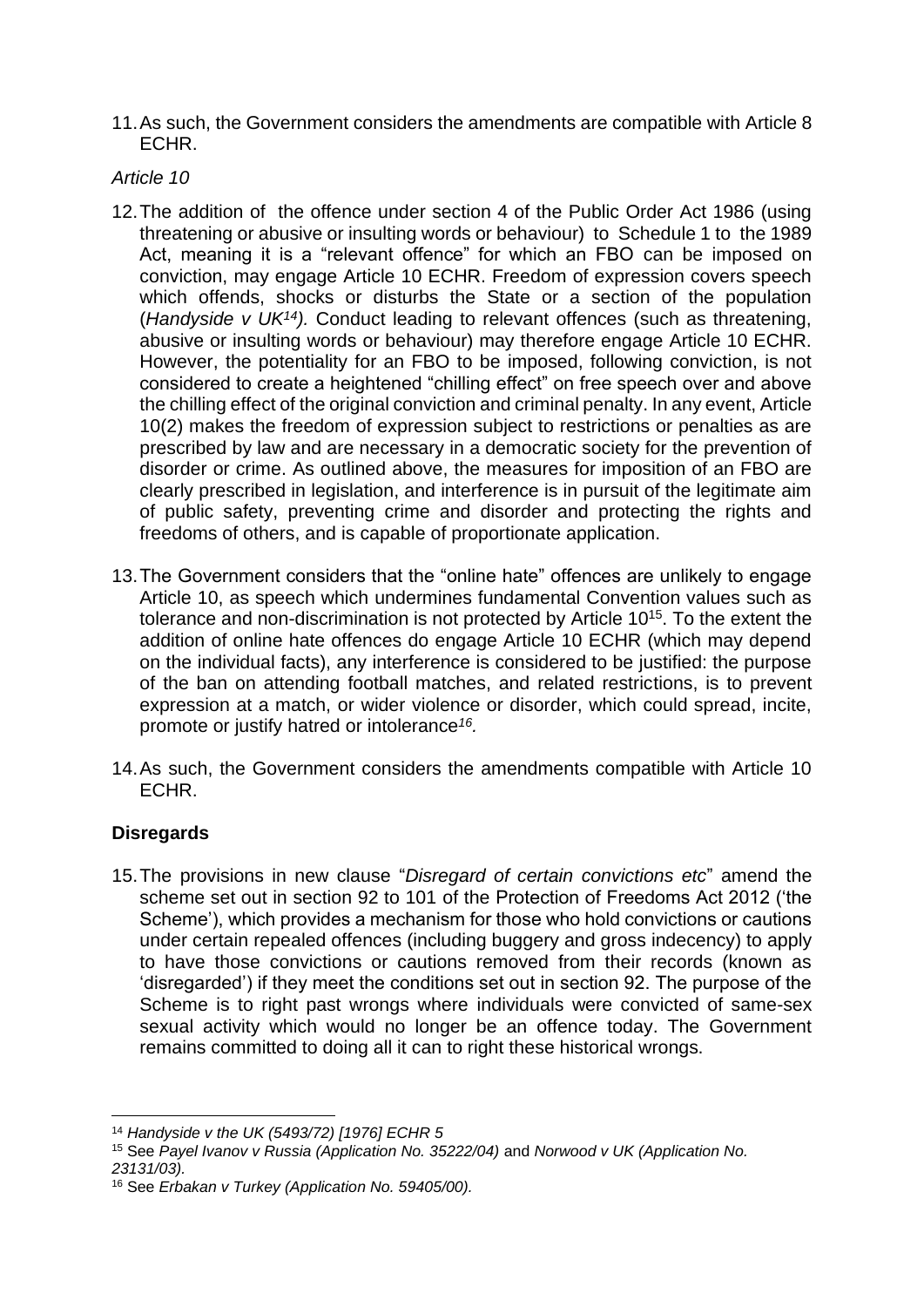11.As such, the Government considers the amendments are compatible with Article 8 ECHR.

### *Article 10*

- 12.The addition of the offence under section 4 of the Public Order Act 1986 (using threatening or abusive or insulting words or behaviour) to Schedule 1 to the 1989 Act, meaning it is a "relevant offence" for which an FBO can be imposed on conviction, may engage Article 10 ECHR. Freedom of expression covers speech which offends, shocks or disturbs the State or a section of the population (*Handyside v UK<sup>14</sup>).* Conduct leading to relevant offences (such as threatening, abusive or insulting words or behaviour) may therefore engage Article 10 ECHR. However, the potentiality for an FBO to be imposed, following conviction, is not considered to create a heightened "chilling effect" on free speech over and above the chilling effect of the original conviction and criminal penalty. In any event, Article 10(2) makes the freedom of expression subject to restrictions or penalties as are prescribed by law and are necessary in a democratic society for the prevention of disorder or crime. As outlined above, the measures for imposition of an FBO are clearly prescribed in legislation, and interference is in pursuit of the legitimate aim of public safety, preventing crime and disorder and protecting the rights and freedoms of others, and is capable of proportionate application.
- 13.The Government considers that the "online hate" offences are unlikely to engage Article 10, as speech which undermines fundamental Convention values such as tolerance and non-discrimination is not protected by Article 10<sup>15</sup>. To the extent the addition of online hate offences do engage Article 10 ECHR (which may depend on the individual facts), any interference is considered to be justified: the purpose of the ban on attending football matches, and related restrictions, is to prevent expression at a match, or wider violence or disorder, which could spread, incite, promote or justify hatred or intolerance*<sup>16</sup> .*
- 14.As such, the Government considers the amendments compatible with Article 10 ECHR.

# **Disregards**

15.The provisions in new clause "*Disregard of certain convictions etc*" amend the scheme set out in section 92 to 101 of the Protection of Freedoms Act 2012 ('the Scheme'), which provides a mechanism for those who hold convictions or cautions under certain repealed offences (including buggery and gross indecency) to apply to have those convictions or cautions removed from their records (known as 'disregarded') if they meet the conditions set out in section 92. The purpose of the Scheme is to right past wrongs where individuals were convicted of same-sex sexual activity which would no longer be an offence today. The Government remains committed to doing all it can to right these historical wrongs.

<sup>14</sup> *Handyside v the UK (5493/72) [1976] ECHR 5* 

<sup>15</sup> See *Payel Ivanov v Russia (Application No. 35222/04)* and *Norwood v UK (Application No. 23131/03).* 

<sup>16</sup> See *Erbakan v Turkey (Application No. 59405/00).*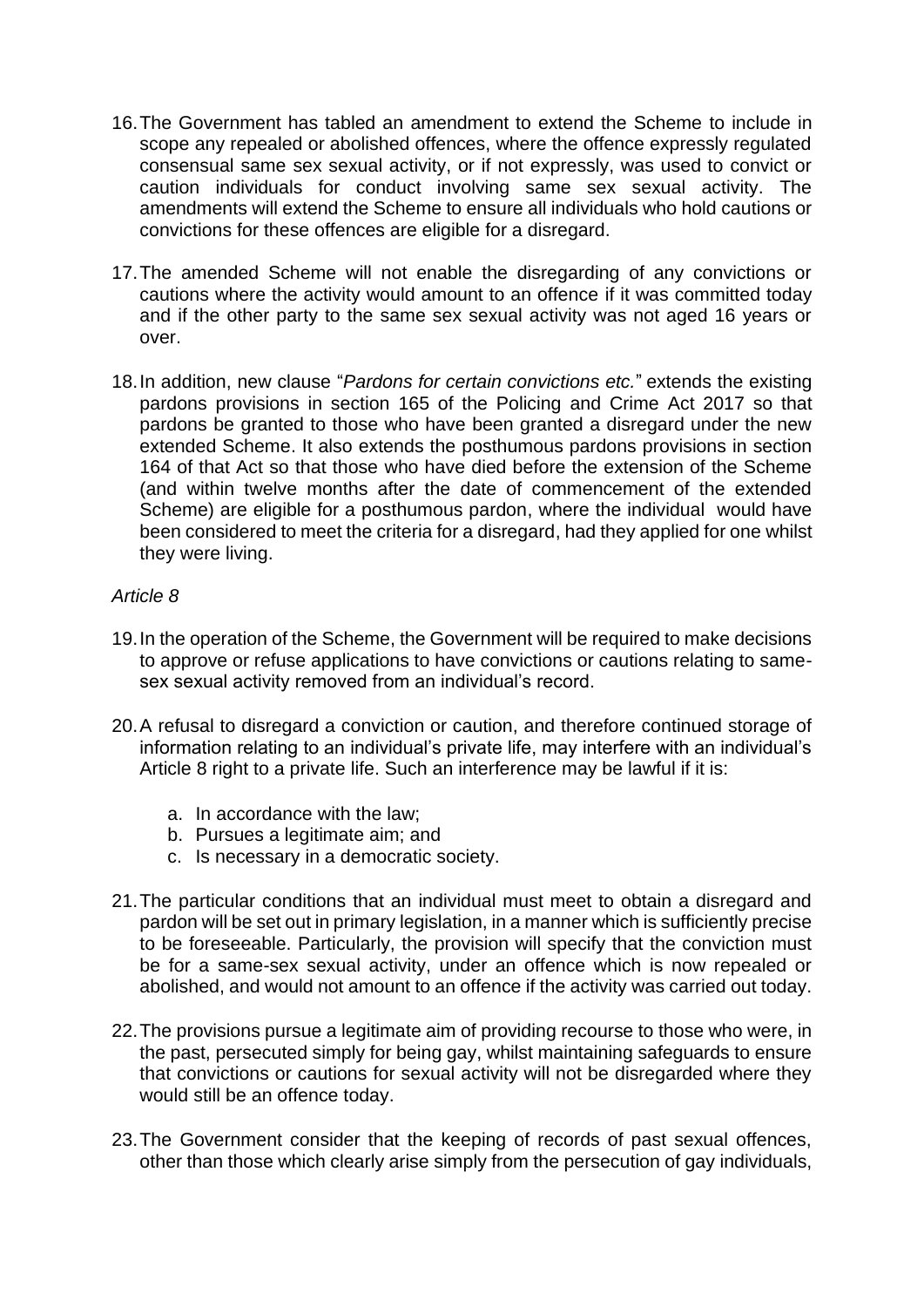- 16.The Government has tabled an amendment to extend the Scheme to include in scope any repealed or abolished offences, where the offence expressly regulated consensual same sex sexual activity, or if not expressly, was used to convict or caution individuals for conduct involving same sex sexual activity. The amendments will extend the Scheme to ensure all individuals who hold cautions or convictions for these offences are eligible for a disregard.
- 17.The amended Scheme will not enable the disregarding of any convictions or cautions where the activity would amount to an offence if it was committed today and if the other party to the same sex sexual activity was not aged 16 years or over.
- 18.In addition, new clause "*Pardons for certain convictions etc.*" extends the existing pardons provisions in section 165 of the Policing and Crime Act 2017 so that pardons be granted to those who have been granted a disregard under the new extended Scheme. It also extends the posthumous pardons provisions in section 164 of that Act so that those who have died before the extension of the Scheme (and within twelve months after the date of commencement of the extended Scheme) are eligible for a posthumous pardon, where the individual would have been considered to meet the criteria for a disregard, had they applied for one whilst they were living.

### *Article 8*

- 19.In the operation of the Scheme, the Government will be required to make decisions to approve or refuse applications to have convictions or cautions relating to samesex sexual activity removed from an individual's record.
- 20.A refusal to disregard a conviction or caution, and therefore continued storage of information relating to an individual's private life, may interfere with an individual's Article 8 right to a private life. Such an interference may be lawful if it is:
	- a. In accordance with the law;
	- b. Pursues a legitimate aim; and
	- c. Is necessary in a democratic society.
- 21.The particular conditions that an individual must meet to obtain a disregard and pardon will be set out in primary legislation, in a manner which is sufficiently precise to be foreseeable. Particularly, the provision will specify that the conviction must be for a same-sex sexual activity, under an offence which is now repealed or abolished, and would not amount to an offence if the activity was carried out today.
- 22.The provisions pursue a legitimate aim of providing recourse to those who were, in the past, persecuted simply for being gay, whilst maintaining safeguards to ensure that convictions or cautions for sexual activity will not be disregarded where they would still be an offence today.
- 23.The Government consider that the keeping of records of past sexual offences, other than those which clearly arise simply from the persecution of gay individuals,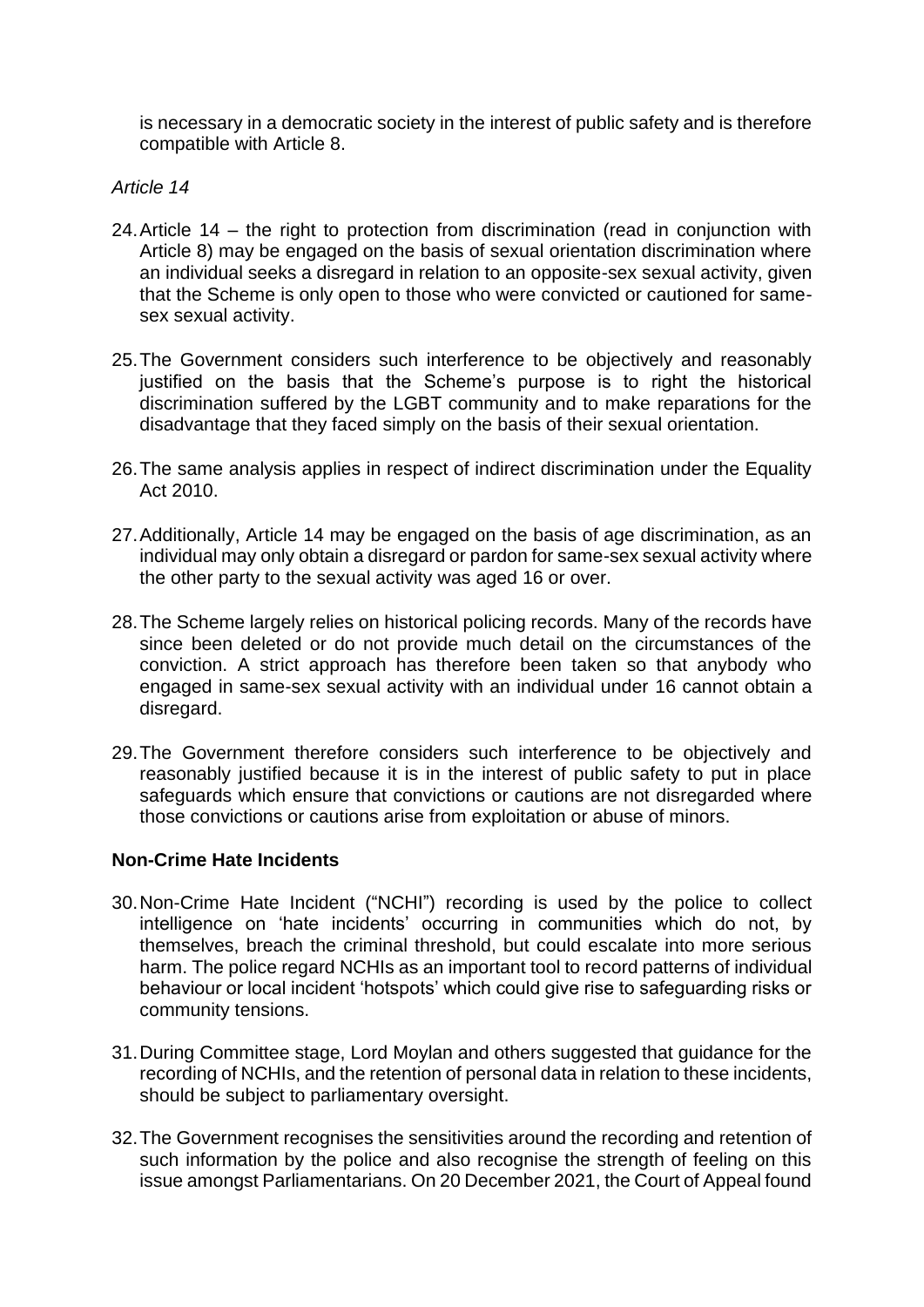is necessary in a democratic society in the interest of public safety and is therefore compatible with Article 8.

### *Article 14*

- 24.Article 14 the right to protection from discrimination (read in conjunction with Article 8) may be engaged on the basis of sexual orientation discrimination where an individual seeks a disregard in relation to an opposite-sex sexual activity, given that the Scheme is only open to those who were convicted or cautioned for samesex sexual activity.
- 25.The Government considers such interference to be objectively and reasonably justified on the basis that the Scheme's purpose is to right the historical discrimination suffered by the LGBT community and to make reparations for the disadvantage that they faced simply on the basis of their sexual orientation.
- 26.The same analysis applies in respect of indirect discrimination under the Equality Act 2010.
- 27.Additionally, Article 14 may be engaged on the basis of age discrimination, as an individual may only obtain a disregard or pardon for same-sex sexual activity where the other party to the sexual activity was aged 16 or over.
- 28.The Scheme largely relies on historical policing records. Many of the records have since been deleted or do not provide much detail on the circumstances of the conviction. A strict approach has therefore been taken so that anybody who engaged in same-sex sexual activity with an individual under 16 cannot obtain a disregard.
- 29.The Government therefore considers such interference to be objectively and reasonably justified because it is in the interest of public safety to put in place safeguards which ensure that convictions or cautions are not disregarded where those convictions or cautions arise from exploitation or abuse of minors.

### **Non-Crime Hate Incidents**

- 30.Non-Crime Hate Incident ("NCHI") recording is used by the police to collect intelligence on 'hate incidents' occurring in communities which do not, by themselves, breach the criminal threshold, but could escalate into more serious harm. The police regard NCHIs as an important tool to record patterns of individual behaviour or local incident 'hotspots' which could give rise to safeguarding risks or community tensions.
- 31.During Committee stage, Lord Moylan and others suggested that guidance for the recording of NCHIs, and the retention of personal data in relation to these incidents, should be subject to parliamentary oversight.
- 32.The Government recognises the sensitivities around the recording and retention of such information by the police and also recognise the strength of feeling on this issue amongst Parliamentarians. On 20 December 2021, the Court of Appeal found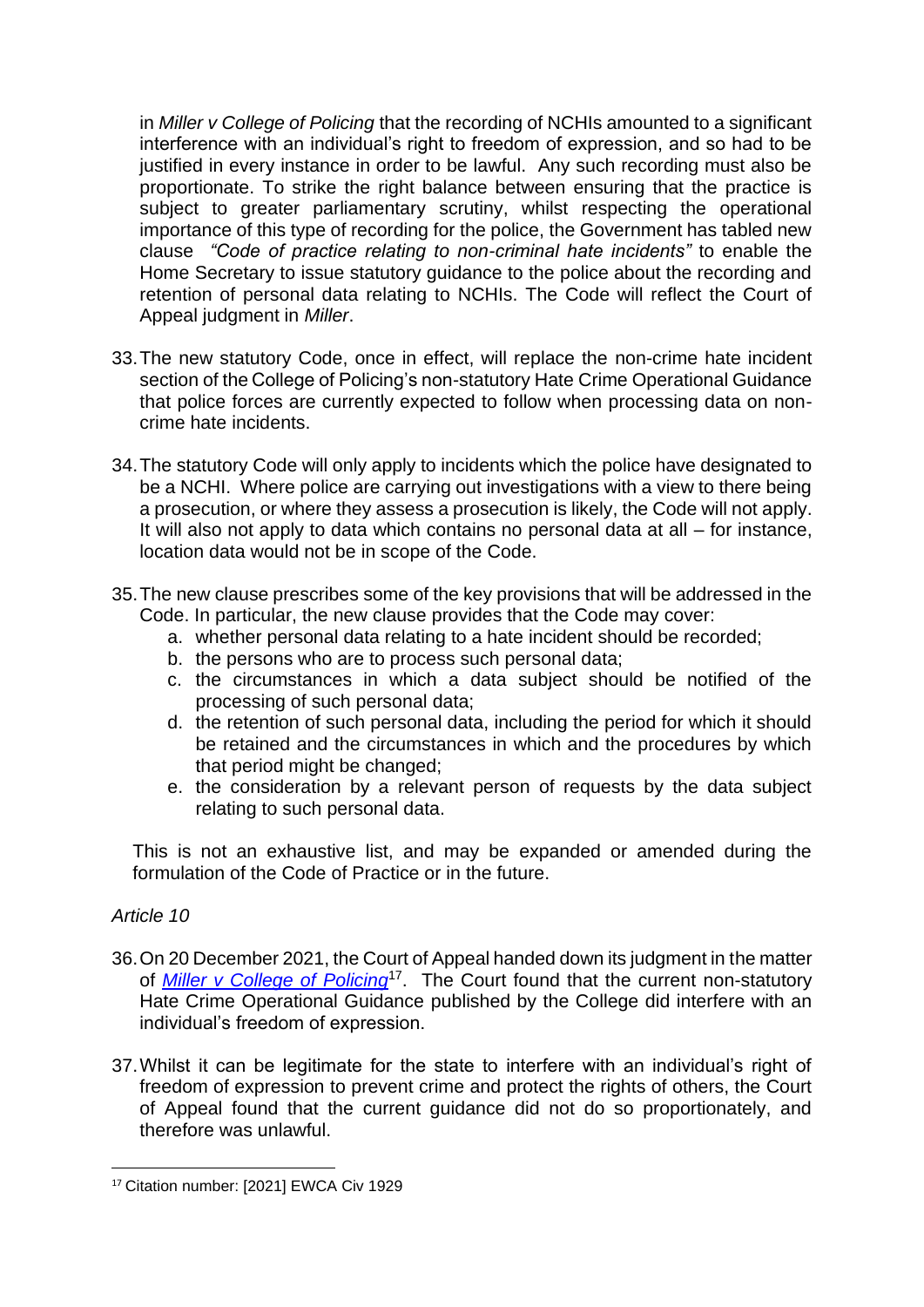in *Miller v College of Policing* that the recording of NCHIs amounted to a significant interference with an individual's right to freedom of expression, and so had to be justified in every instance in order to be lawful. Any such recording must also be proportionate. To strike the right balance between ensuring that the practice is subject to greater parliamentary scrutiny, whilst respecting the operational importance of this type of recording for the police, the Government has tabled new clause *"Code of practice relating to non-criminal hate incidents"* to enable the Home Secretary to issue statutory guidance to the police about the recording and retention of personal data relating to NCHIs. The Code will reflect the Court of Appeal judgment in *Miller*.

- 33.The new statutory Code, once in effect, will replace the non-crime hate incident section of the College of Policing's non-statutory Hate Crime Operational Guidance that police forces are currently expected to follow when processing data on noncrime hate incidents.
- 34.The statutory Code will only apply to incidents which the police have designated to be a NCHI. Where police are carrying out investigations with a view to there being a prosecution, or where they assess a prosecution is likely, the Code will not apply. It will also not apply to data which contains no personal data at all – for instance, location data would not be in scope of the Code.
- 35.The new clause prescribes some of the key provisions that will be addressed in the Code. In particular, the new clause provides that the Code may cover:
	- a. whether personal data relating to a hate incident should be recorded;
	- b. the persons who are to process such personal data;
	- c. the circumstances in which a data subject should be notified of the processing of such personal data;
	- d. the retention of such personal data, including the period for which it should be retained and the circumstances in which and the procedures by which that period might be changed;
	- e. the consideration by a relevant person of requests by the data subject relating to such personal data.

This is not an exhaustive list, and may be expanded or amended during the formulation of the Code of Practice or in the future.

# *Article 10*

- 36.On 20 December 2021, the Court of Appeal handed down its judgment in the matter of *[Miller v College of Policing](https://www.judiciary.uk/wp-content/uploads/2021/12/Miller-v-College-of-Policing-judgment-201221.pdf)*<sup>17</sup>. The Court found that the current non-statutory Hate Crime Operational Guidance published by the College did interfere with an individual's freedom of expression.
- 37.Whilst it can be legitimate for the state to interfere with an individual's right of freedom of expression to prevent crime and protect the rights of others, the Court of Appeal found that the current guidance did not do so proportionately, and therefore was unlawful.

<sup>&</sup>lt;sup>17</sup> Citation number: [2021] EWCA Civ 1929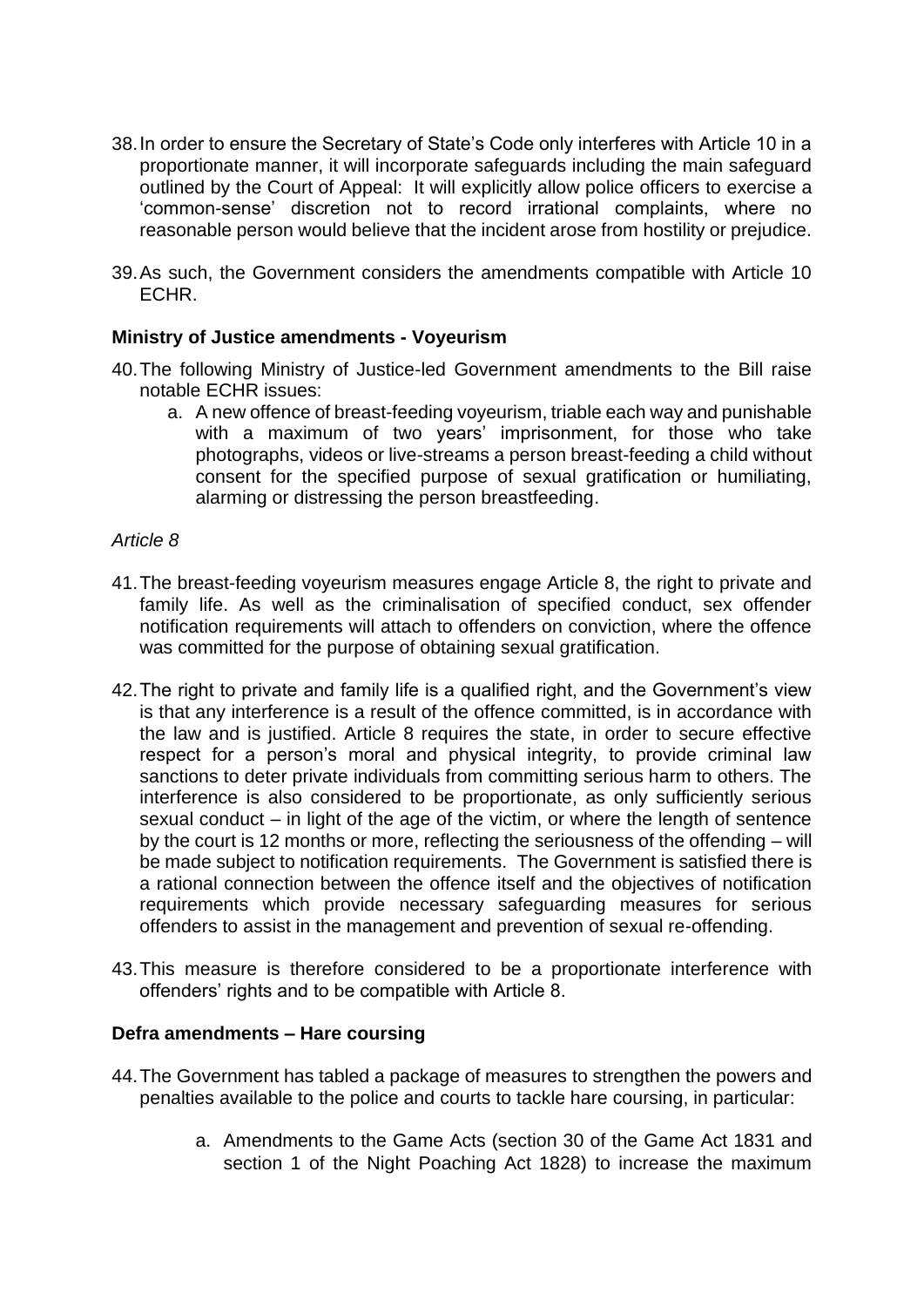- 38.In order to ensure the Secretary of State's Code only interferes with Article 10 in a proportionate manner, it will incorporate safeguards including the main safeguard outlined by the Court of Appeal: It will explicitly allow police officers to exercise a 'common-sense' discretion not to record irrational complaints, where no reasonable person would believe that the incident arose from hostility or prejudice.
- 39.As such, the Government considers the amendments compatible with Article 10 ECHR.

### **Ministry of Justice amendments - Voyeurism**

- 40.The following Ministry of Justice-led Government amendments to the Bill raise notable ECHR issues:
	- a. A new offence of breast-feeding voyeurism, triable each way and punishable with a maximum of two years' imprisonment, for those who take photographs, videos or live-streams a person breast-feeding a child without consent for the specified purpose of sexual gratification or humiliating, alarming or distressing the person breastfeeding.

#### *Article 8*

- 41.The breast-feeding voyeurism measures engage Article 8, the right to private and family life. As well as the criminalisation of specified conduct, sex offender notification requirements will attach to offenders on conviction, where the offence was committed for the purpose of obtaining sexual gratification.
- 42.The right to private and family life is a qualified right, and the Government's view is that any interference is a result of the offence committed, is in accordance with the law and is justified. Article 8 requires the state, in order to secure effective respect for a person's moral and physical integrity, to provide criminal law sanctions to deter private individuals from committing serious harm to others. The interference is also considered to be proportionate, as only sufficiently serious sexual conduct – in light of the age of the victim, or where the length of sentence by the court is 12 months or more, reflecting the seriousness of the offending – will be made subject to notification requirements. The Government is satisfied there is a rational connection between the offence itself and the objectives of notification requirements which provide necessary safeguarding measures for serious offenders to assist in the management and prevention of sexual re-offending.
- 43.This measure is therefore considered to be a proportionate interference with offenders' rights and to be compatible with Article 8.

#### **Defra amendments – Hare coursing**

- 44.The Government has tabled a package of measures to strengthen the powers and penalties available to the police and courts to tackle hare coursing, in particular:
	- a. Amendments to the Game Acts (section 30 of the Game Act 1831 and section 1 of the Night Poaching Act 1828) to increase the maximum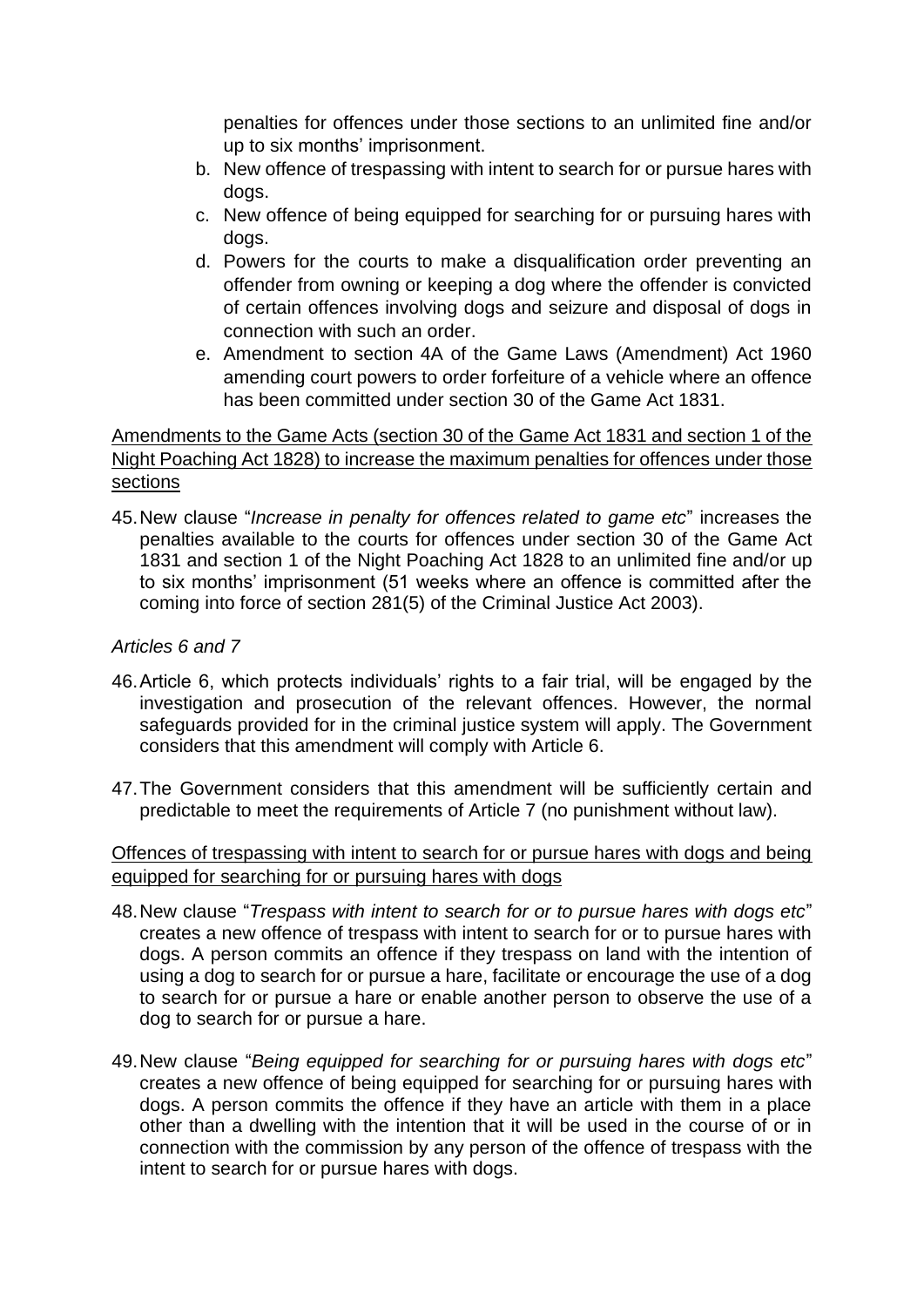penalties for offences under those sections to an unlimited fine and/or up to six months' imprisonment.

- b. New offence of trespassing with intent to search for or pursue hares with dogs.
- c. New offence of being equipped for searching for or pursuing hares with dogs.
- d. Powers for the courts to make a disqualification order preventing an offender from owning or keeping a dog where the offender is convicted of certain offences involving dogs and seizure and disposal of dogs in connection with such an order.
- e. Amendment to section 4A of the Game Laws (Amendment) Act 1960 amending court powers to order forfeiture of a vehicle where an offence has been committed under section 30 of the Game Act 1831.

# Amendments to the Game Acts (section 30 of the Game Act 1831 and section 1 of the Night Poaching Act 1828) to increase the maximum penalties for offences under those sections

45.New clause "*Increase in penalty for offences related to game etc*" increases the penalties available to the courts for offences under section 30 of the Game Act 1831 and section 1 of the Night Poaching Act 1828 to an unlimited fine and/or up to six months' imprisonment (51 weeks where an offence is committed after the coming into force of section 281(5) of the Criminal Justice Act 2003).

## *Articles 6 and 7*

- 46.Article 6, which protects individuals' rights to a fair trial, will be engaged by the investigation and prosecution of the relevant offences. However, the normal safeguards provided for in the criminal justice system will apply. The Government considers that this amendment will comply with Article 6.
- 47.The Government considers that this amendment will be sufficiently certain and predictable to meet the requirements of Article 7 (no punishment without law).

### Offences of trespassing with intent to search for or pursue hares with dogs and being equipped for searching for or pursuing hares with dogs

- 48.New clause "*Trespass with intent to search for or to pursue hares with dogs etc*" creates a new offence of trespass with intent to search for or to pursue hares with dogs. A person commits an offence if they trespass on land with the intention of using a dog to search for or pursue a hare, facilitate or encourage the use of a dog to search for or pursue a hare or enable another person to observe the use of a dog to search for or pursue a hare.
- 49.New clause "*Being equipped for searching for or pursuing hares with dogs etc*" creates a new offence of being equipped for searching for or pursuing hares with dogs. A person commits the offence if they have an article with them in a place other than a dwelling with the intention that it will be used in the course of or in connection with the commission by any person of the offence of trespass with the intent to search for or pursue hares with dogs.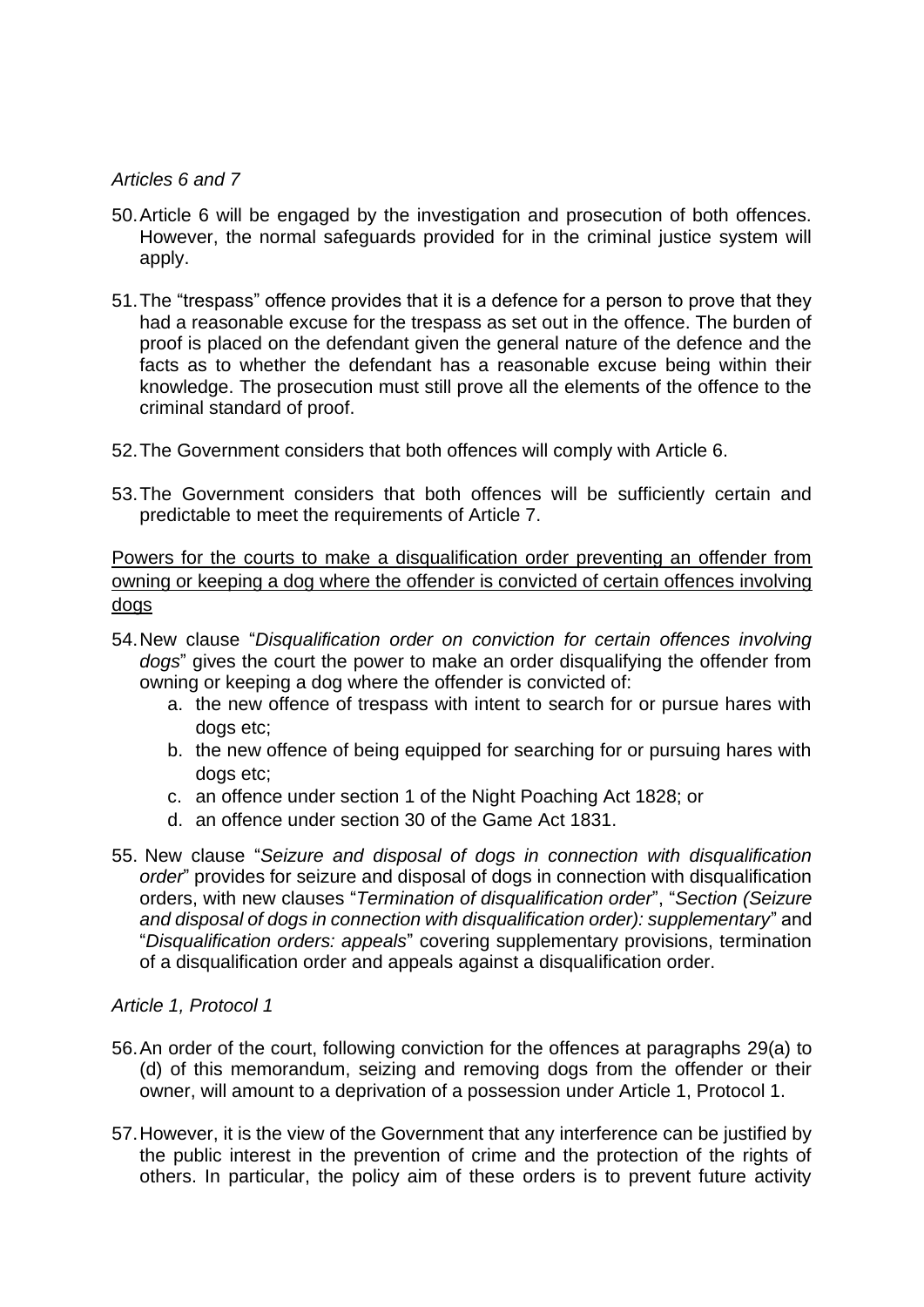#### *Articles 6 and 7*

- 50.Article 6 will be engaged by the investigation and prosecution of both offences. However, the normal safeguards provided for in the criminal justice system will apply.
- 51.The "trespass" offence provides that it is a defence for a person to prove that they had a reasonable excuse for the trespass as set out in the offence. The burden of proof is placed on the defendant given the general nature of the defence and the facts as to whether the defendant has a reasonable excuse being within their knowledge. The prosecution must still prove all the elements of the offence to the criminal standard of proof.
- 52.The Government considers that both offences will comply with Article 6.
- 53.The Government considers that both offences will be sufficiently certain and predictable to meet the requirements of Article 7.

Powers for the courts to make a disqualification order preventing an offender from owning or keeping a dog where the offender is convicted of certain offences involving dogs

- 54.New clause "*Disqualification order on conviction for certain offences involving dogs*" gives the court the power to make an order disqualifying the offender from owning or keeping a dog where the offender is convicted of:
	- a. the new offence of trespass with intent to search for or pursue hares with dogs etc;
	- b. the new offence of being equipped for searching for or pursuing hares with dogs etc;
	- c. an offence under section 1 of the Night Poaching Act 1828; or
	- d. an offence under section 30 of the Game Act 1831.
- 55. New clause "*Seizure and disposal of dogs in connection with disqualification order*" provides for seizure and disposal of dogs in connection with disqualification orders, with new clauses "*Termination of disqualification order*", "*Section (Seizure and disposal of dogs in connection with disqualification order): supplementary*" and "*Disqualification orders: appeals*" covering supplementary provisions, termination of a disqualification order and appeals against a disqualification order.

#### *Article 1, Protocol 1*

- 56.An order of the court, following conviction for the offences at paragraphs 29(a) to (d) of this memorandum, seizing and removing dogs from the offender or their owner, will amount to a deprivation of a possession under Article 1, Protocol 1.
- 57.However, it is the view of the Government that any interference can be justified by the public interest in the prevention of crime and the protection of the rights of others. In particular, the policy aim of these orders is to prevent future activity